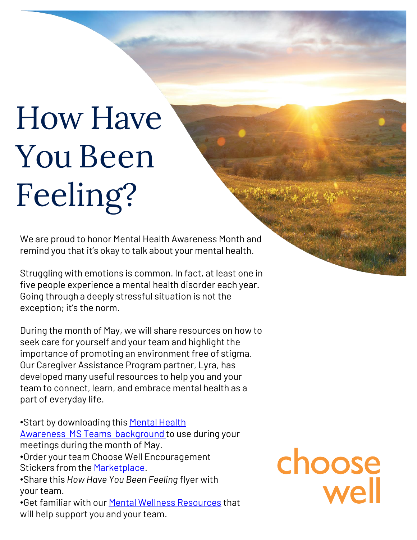# How Have You Been Feeling?

We are proud to honor Mental Health Awareness Month and remind you that it's okay to talk about your mental health.

Struggling with emotions is common. In fact, at least one in five people experience a mental health disorder each year. Going through a deeply stressful situation is not the exception; it's the norm.

During the month of May, we will share resources on how to seek care for yourself and your team and highlight the importance of promoting an environment free of stigma. Our Caregiver Assistance Program partner, Lyra, has developed many useful resources to help you and your team to connect, learn, and embrace mental health as a part of everyday life.

• [Start by downloading this Mental Health](https://www.mychoosewell.org/images/Mental-Health-Awareness-MS-Teams-Background.jpg?pagemode=Edit)

Awareness MS Teams background to use during your meetings during the month of May.

•Order your team Choose Well Encouragement Stickers from the [Marketplace.](https://www.mychoosewell.org/resources/core-leader-hub/)

•Share this *How Have You Been Feeling* flyer with your team.

•Get familiar with our [Mental Wellness Resources](https://www.mychoosewell.org/resources/mental-wellness-resources/support-for-core-leaders/) that will help support you and your team.

## choose well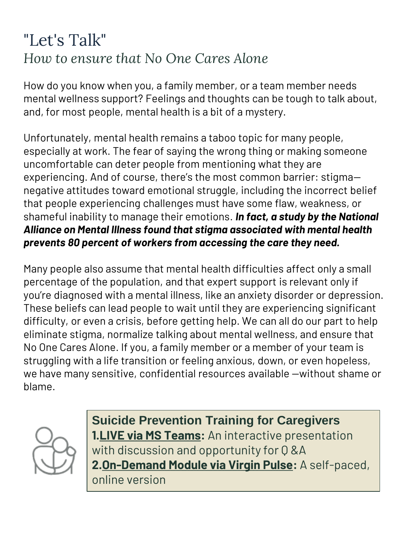#### "Let's Talk" *How to ensure that No One Cares Alone*

How do you know when you, a family member, or a team member needs mental wellness support? Feelings and thoughts can be tough to talk about, and, for most people, mental health is a bit of a mystery.

Unfortunately, mental health remains a taboo topic for many people, especially at work. The fear of saying the wrong thing or making someone uncomfortable can deter people from mentioning what they are experiencing. And of course, there's the most common barrier: stigma negative attitudes toward emotional struggle, including the incorrect belief that people experiencing challenges must have some flaw, weakness, or shameful inability to manage their emotions. *In fact, a study by the National Alliance on Mental Illness found that stigma associated with mental health prevents 80 percent of workers from accessing the care they need.*

Many people also assume that mental health difficulties affect only a small percentage of the population, and that expert support is relevant only if you're diagnosed with a mental illness, like an anxiety disorder or depression. These beliefs can lead people to wait until they are experiencing significant difficulty, or even a crisis, before getting help. We can all do our part to help eliminate stigma, normalize talking about mental wellness, and ensure that No One Cares Alone. If you, a family member or a member of your team is struggling with a life transition or feeling anxious, down, or even hopeless, we have many sensitive, confidential resources available —without shame or blame.



**Suicide Prevention Training for Caregivers [1.LIVE via MS Teams:](https://nam11.safelinks.protection.outlook.com/?url=https%3A%2F%2Fwww.signupgenius.com%2Fgo%2F904084fafab2aa6fb6-caregiver&data=04%7C01%7CMandi.Ucab%40providence.org%7Cf78e3c7c09c54e1d0e6208d9eda5b237%7C2e3190869a2646a3865f615bed576786%7C0%7C0%7C637802118176839122%7CUnknown%7CTWFpbGZsb3d8eyJWIjoiMC4wLjAwMDAiLCJQIjoiV2luMzIiLCJBTiI6Ik1haWwiLCJXVCI6Mn0%3D%7C3000&sdata=8SvUdlo1s1AW7A4n0N2gxWxMn2daYVWmYPFk1qjXOyw%3D&reserved=0)** An interactive presentation with discussion and opportunity for Q &A **[2.On-Demand Module via Virgin Pulse](https://app.member.virginpulse.com/#/benefits/programs/22410):** A self-paced, online version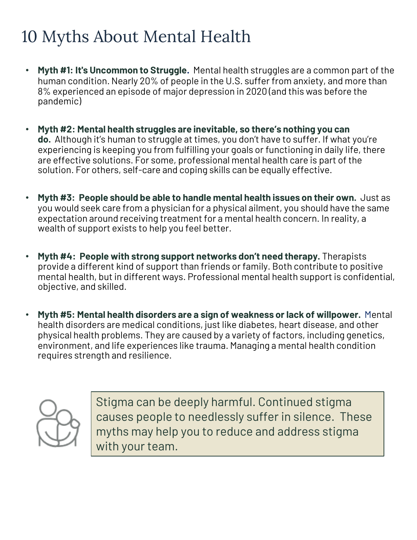### 10 Myths About Mental Health

- **Myth #1: It's Uncommon to Struggle.** Mental health struggles are a common part of the human condition. Nearly 20% of people in the U.S. suffer from anxiety, and more than 8% experienced an episode of major depression in 2020 (and this was before the pandemic)
- **Myth #2: Mental health struggles are inevitable, so there's nothing you can do.** Although it's human to struggle at times, you don't have to suffer. If what you're experiencing is keeping you from fulfilling your goals or functioning in daily life, there are effective solutions. For some, professional mental health care is part of the solution. For others, self-care and coping skills can be equally effective.
- **Myth #3: People should be able to handle mental health issues on their own.** Just as you would seek care from a physician for a physical ailment, you should have the same expectation around receiving treatment for a mental health concern. In reality, a wealth of support exists to help you feel better.
- **Myth #4: People with strong support networks don't need therapy.** Therapists provide a different kind of support than friends or family. Both contribute to positive mental health, but in different ways. Professional mental health support is confidential, objective, and skilled.
- **Myth #5: Mental health disorders are a sign of weakness or lack of willpower.** Mental health disorders are medical conditions, just like diabetes, heart disease, and other physical health problems. They are caused by a variety of factors, including genetics, environment, and life experiences like trauma. Managing a mental health condition requires strength and resilience.



Stigma can be deeply harmful. Continued stigma causes people to needlessly suffer in silence. These myths may help you to reduce and address stigma with your team.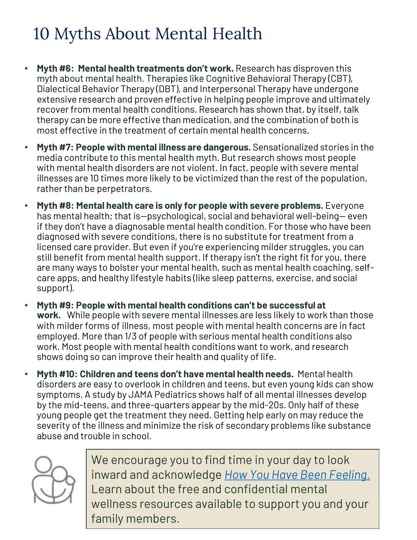### 10 Myths About Mental Health

- **Myth #6: Mental health treatments don't work.** Research has disproven this myth about mental health. Therapies like Cognitive Behavioral Therapy (CBT), Dialectical Behavior Therapy (DBT), and Interpersonal Therapy have undergone extensive research and proven effective in helping people improve and ultimately recover from mental health conditions. Research has shown that, by itself, talk therapy can be more effective than medication, and the combination of both is most effective in the treatment of certain mental health concerns.
- **Myth #7: People with mental illness are dangerous.** Sensationalized stories in the media contribute to this mental health myth. But research shows most people with mental health disorders are not violent. In fact, people with severe mental illnesses are 10 times more likely to be victimized than the rest of the population, rather than be perpetrators.
- **Myth #8: Mental health care is only for people with severe problems.** Everyone has mental health; that is—psychological, social and behavioral well-being— even if they don't have a diagnosable mental health condition. For those who have been diagnosed with severe conditions, there is no substitute for treatment from a licensed care provider. But even if you're experiencing milder struggles, you can still benefit from mental health support. If therapy isn't the right fit for you, there are many ways to bolster your mental health, such as mental health coaching, selfcare apps, and healthy lifestyle habits (like sleep patterns, exercise, and social support).
- **Myth #9: People with mental health conditions can't be successful at work.** While people with severe mental illnesses are less likely to work than those with milder forms of illness, most people with mental health concerns are in fact employed. More than 1/3 of people with serious mental health conditions also work. Most people with mental health conditions want to work, and research shows doing so can improve their health and quality of life.
- **Myth #10: Children and teens don't have mental health needs.** Mental health disorders are easy to overlook in children and teens, but even young kids can show symptoms. A study by JAMA Pediatrics shows half of all mental illnesses develop by the mid-teens, and three-quarters appear by the mid-20s. Only half of these young people get the treatment they need. Getting help early on may reduce the severity of the illness and minimize the risk of secondary problems like substance abuse and trouble in school.



We encourage you to find time in your day to look inward and acknowledge *[How You Have Been Feeling.](https://www.mychoosewell.org/~/resources/mental-wellness-resources/)* Learn about the free and confidential mental wellness resources available to support you and your family members.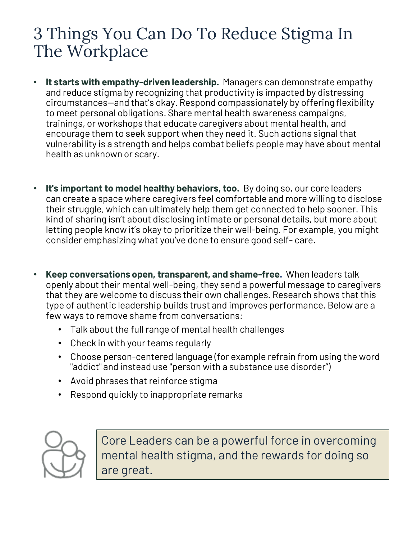#### 3 Things You Can Do To Reduce Stigma In The Workplace

- **It starts with empathy-driven leadership.** Managers can demonstrate empathy and reduce stigma by recognizing that productivity is impacted by distressing circumstances—and that's okay. Respond compassionately by offering flexibility to meet personal obligations. Share mental health awareness campaigns, trainings, or workshops that educate caregivers about mental health, and encourage them to seek support when they need it. Such actions signal that vulnerability is a strength and helps combat beliefs people may have about mental health as unknown or scary.
- **It's important to model healthy behaviors, too.** By doing so, our core leaders can create a space where caregivers feel comfortable and more willing to disclose their struggle, which can ultimately help them get connected to help sooner. This kind of sharing isn't about disclosing intimate or personal details, but more about letting people know it's okay to prioritize their well-being. For example, you might consider emphasizing what you've done to ensure good self- care.
- **Keep conversations open, transparent, and shame-free.** When leaders talk openly about their mental well-being, they send a powerful message to caregivers that they are welcome to discuss their own challenges. Research shows that this type of authentic leadership builds trust and improves performance. Below are a few ways to remove shame from conversations:
	- Talk about the full range of mental health challenges
	- Check in with your teams regularly
	- Choose person-centered language (for example refrain from using the word "addict" and instead use "person with a substance use disorder")
	- Avoid phrases that reinforce stigma
	- Respond quickly to inappropriate remarks



Core Leaders can be a powerful force in overcoming mental health stigma, and the rewards for doing so are great.